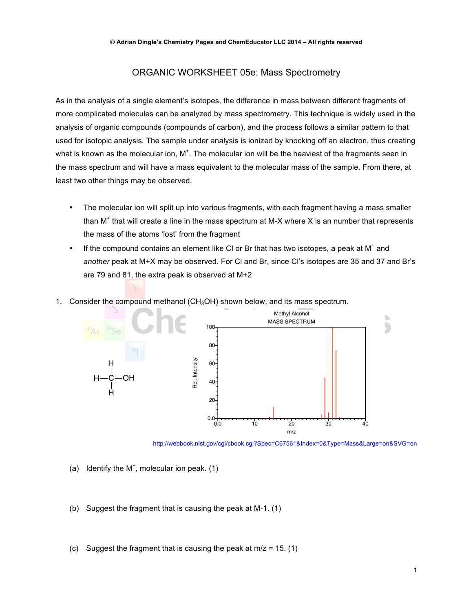## ORGANIC WORKSHEET 05e: Mass Spectrometry

As in the analysis of a single element's isotopes, the difference in mass between different fragments of more complicated molecules can be analyzed by mass spectrometry. This technique is widely used in the analysis of organic compounds (compounds of carbon), and the process follows a similar pattern to that used for isotopic analysis. The sample under analysis is ionized by knocking off an electron, thus creating what is known as the molecular ion,  $M^*$ . The molecular ion will be the heaviest of the fragments seen in the mass spectrum and will have a mass equivalent to the molecular mass of the sample. From there, at least two other things may be observed.

- The molecular ion will split up into various fragments, with each fragment having a mass smaller than  $M^+$  that will create a line in the mass spectrum at M-X where X is an number that represents the mass of the atoms 'lost' from the fragment
- If the compound contains an element like CI or Br that has two isotopes, a peak at  $M^*$  and *another* peak at M+X may be observed. For Cl and Br, since Cl's isotopes are 35 and 37 and Br's are 79 and 81, the extra peak is observed at M+2
- 1. Consider the compound methanol (CH<sub>3</sub>OH) shown below, and its mass spectrum.



http://webbook.nist.gov/cgi/cbook.cgi?Spec=C67561&Index=0&Type=Mass&Large=on&SVG=on

- (a) Identify the  $M^+$ , molecular ion peak. (1)
- (b) Suggest the fragment that is causing the peak at M-1. (1)
- (c) Suggest the fragment that is causing the peak at  $m/z = 15$ . (1)